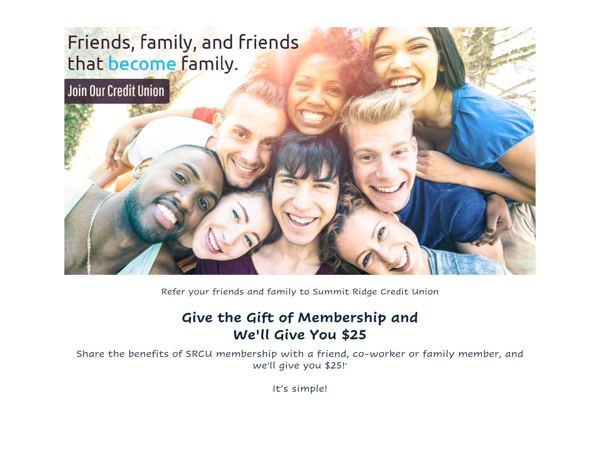## Friends, family, and friends that become family.



Refer your friends and family to Summit Ridge Credit Union

## **Give the Gift of Membership and We'll Give You \$25**

Share the benefits of SRCU membership with a friend, co-worker or family member, and we'll give you \$25!\*

It's simple!